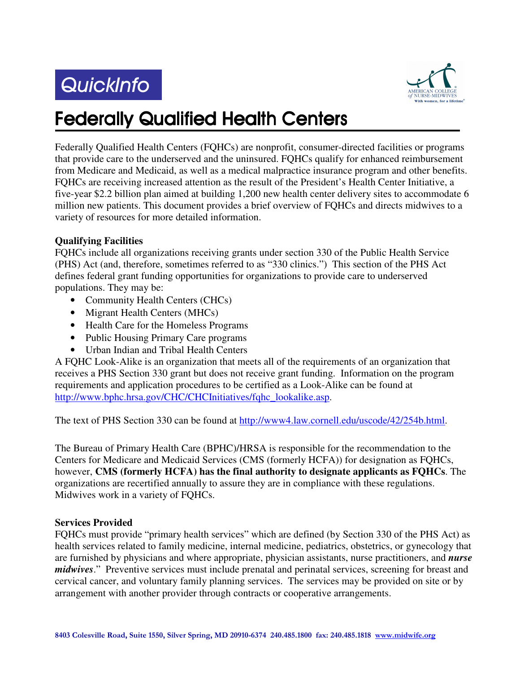# QuickInfo



# **Federally Qualified Health Centers**

Federally Qualified Health Centers (FQHCs) are nonprofit, consumer-directed facilities or programs that provide care to the underserved and the uninsured. FQHCs qualify for enhanced reimbursement from Medicare and Medicaid, as well as a medical malpractice insurance program and other benefits. FQHCs are receiving increased attention as the result of the President's Health Center Initiative, a five-year \$2.2 billion plan aimed at building 1,200 new health center delivery sites to accommodate 6 million new patients. This document provides a brief overview of FQHCs and directs midwives to a variety of resources for more detailed information.

## **Qualifying Facilities**

FQHCs include all organizations receiving grants under section 330 of the Public Health Service (PHS) Act (and, therefore, sometimes referred to as "330 clinics.") This section of the PHS Act defines federal grant funding opportunities for organizations to provide care to underserved populations. They may be:

- Community Health Centers (CHCs)
- Migrant Health Centers (MHCs)
- Health Care for the Homeless Programs
- Public Housing Primary Care programs
- Urban Indian and Tribal Health Centers

A FQHC Look-Alike is an organization that meets all of the requirements of an organization that receives a PHS Section 330 grant but does not receive grant funding. Information on the program requirements and application procedures to be certified as a Look-Alike can be found at http://www.bphc.hrsa.gov/CHC/CHCInitiatives/fqhc\_lookalike.asp.

The text of PHS Section 330 can be found at http://www4.law.cornell.edu/uscode/42/254b.html.

The Bureau of Primary Health Care (BPHC)/HRSA is responsible for the recommendation to the Centers for Medicare and Medicaid Services (CMS (formerly HCFA)) for designation as FQHCs, however, **CMS (formerly HCFA) has the final authority to designate applicants as FQHCs**. The organizations are recertified annually to assure they are in compliance with these regulations. Midwives work in a variety of FQHCs.

### **Services Provided**

FQHCs must provide "primary health services" which are defined (by Section 330 of the PHS Act) as health services related to family medicine, internal medicine, pediatrics, obstetrics, or gynecology that are furnished by physicians and where appropriate, physician assistants, nurse practitioners, and *nurse midwives*." Preventive services must include prenatal and perinatal services, screening for breast and cervical cancer, and voluntary family planning services. The services may be provided on site or by arrangement with another provider through contracts or cooperative arrangements.